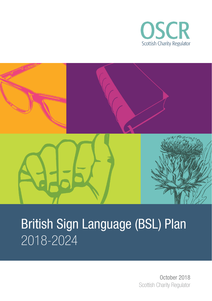



# British Sign Language (BSL) Plan 2018-2024

 October 2018 Scottish Charity Regulator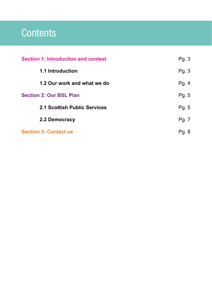## **Contents**

| <b>Section 1: Introduction and context</b> | Pg. 3 |
|--------------------------------------------|-------|
| 1.1 Introduction                           | Pg. 3 |
| 1.2 Our work and what we do                | Pg. 4 |
| <b>Section 2: Our BSL Plan</b>             | Pg. 5 |
| 2.1 Scottish Public Services               | Pg. 5 |
| 2.2 Democracy                              | Pg. 7 |
| <b>Section 3: Contact us</b>               | Pg. 8 |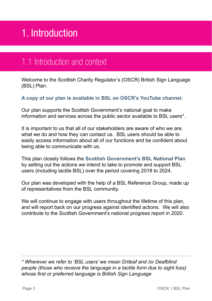## 1. Introduction

#### 1.1 Introduction and context

Welcome to the Scottish Charity Regulator's (OSCR) British Sign Language (BSL) Plan.

#### **[A copy of our plan is available in BSL on OSCR's YouTube channel.](https://youtu.be/NZMxGHQzl9s)**

Our plan supports the Scottish Government's national goal to make information and services across the public sector available to BSL users\*.

It is important to us that all of our stakeholders are aware of who we are, what we do and how they can contact us. BSL users should be able to easily access information about all of our functions and be confident about being able to communicate with us.

This plan closely follows the **[Scottish Government's BSL National Plan](http://www.gov.scot/Publications/2017/10/3540)**  by setting out the actions we intend to take to promote and support BSL users (including tactile BSL) over the period covering 2018 to 2024.

Our plan was developed with the help of a BSL Reference Group, made up of representatives from the BSL community.

We will continue to engage with users throughout the lifetime of this plan. and will report back on our progress against identified actions. We will also contribute to the Scottish Government's national progress report in 2020.

*\* Wherever we refer to 'BSL users' we mean D/deaf and /or Deafblind people (those who receive the language in a tactile form due to sight loss) whose first or preferred language is British Sign Language*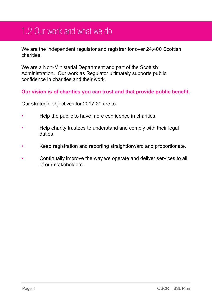### 1.2 Our work and what we do

We are the independent regulator and registrar for over 24,400 Scottish charities.

We are a Non-Ministerial Department and part of the Scottish Administration. Our work as Regulator ultimately supports public confidence in charities and their work.

#### **Our vision is of charities you can trust and that provide public benefit.**

Our strategic objectives for 2017-20 are to:

- Help the public to have more confidence in charities.
- Help charity trustees to understand and comply with their legal duties.
- Keep registration and reporting straightforward and proportionate.
- Continually improve the way we operate and deliver services to all of our stakeholders.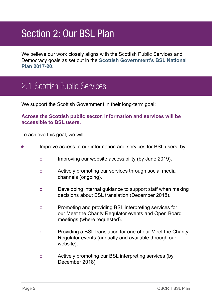## Section 2: Our BSL Plan

We believe our work closely aligns with the Scottish Public Services and Democracy goals as set out in the **[Scottish Government's BSL National](http://www.gov.scot/Publications/2017/10/3540)  [Plan 2017-20](http://www.gov.scot/Publications/2017/10/3540)**.

### 2.1 Scottish Public Services

We support the Scottish Government in their long-term goal:

#### **Across the Scottish public sector, information and services will be accessible to BSL users.**

To achieve this goal, we will:

- **•** Improve access to our information and services for BSL users, by:
	- o Improving our website accessibility (by June 2019).
	- o Actively promoting our services through social media channels (ongoing).
	- o Developing internal guidance to support staff when making decisions about BSL translation (December 2018).
	- o Promoting and providing BSL interpreting services for our Meet the Charity Regulator events and Open Board meetings (where requested).
	- o Providing a BSL translation for one of our Meet the Charity Regulator events (annually and available through our website).
	- o Actively promoting our BSL interpreting services (by December 2018).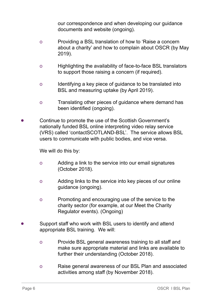our correspondence and when developing our guidance documents and website (ongoing).

- o Providing a BSL translation of how to 'Raise a concern about a charity' and how to complain about OSCR (by May 2019).
- o Highlighting the availability of face-to-face BSL translators to support those raising a concern (if required).
- o Identifying a key piece of guidance to be translated into BSL and measuring uptake (by April 2019).
- o Translating other pieces of guidance where demand has been identified (ongoing).
- **•** Continue to promote the use of the Scottish Government's nationally funded BSL online interpreting video relay service (VRS) called 'contactSCOTLAND-BSL'. The service allows BSL users to communicate with public bodies, and vice versa.

We will do this by:

- o Adding a link to the service into our email signatures (October 2018).
- o Adding links to the service into key pieces of our online guidance (ongoing).
- o Promoting and encouraging use of the service to the charity sector (for example, at our Meet the Charity Regulator events). (Ongoing)
- **•** Support staff who work with BSL users to identify and attend appropriate BSL training. We will:
	- o Provide BSL general awareness training to all staff and make sure appropriate material and links are available to further their understanding (October 2018).
	- o Raise general awareness of our BSL Plan and associated activities among staff (by November 2018).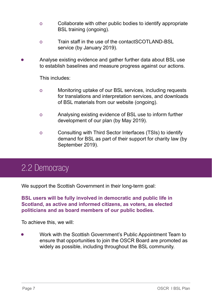- o Collaborate with other public bodies to identify appropriate BSL training (ongoing).
- o Train staff in the use of the contactSCOTLAND-BSL service (by January 2019).
- **•** Analyse existing evidence and gather further data about BSL use to establish baselines and measure progress against our actions.

This includes:

- o Monitoring uptake of our BSL services, including requests for translations and interpretation services, and downloads of BSL materials from our website (ongoing).
- o Analysing existing evidence of BSL use to inform further development of our plan (by May 2019).
- o Consulting with Third Sector Interfaces (TSIs) to identify demand for BSL as part of their support for charity law (by September 2019).

### 2.2 Democracy

We support the Scottish Government in their long-term goal:

**BSL users will be fully involved in democratic and public life in Scotland, as active and informed citizens, as voters, as elected politicians and as board members of our public bodies.**

To achieve this, we will:

**•** Work with the Scottish Government's Public Appointment Team to ensure that opportunities to join the OSCR Board are promoted as widely as possible, including throughout the BSL community.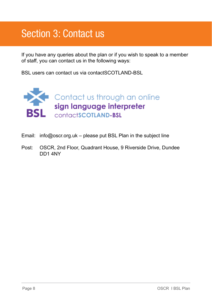## Section 3: Contact us

If you have any queries about the plan or if you wish to speak to a member of staff, you can contact us in the following ways:

BSL users can contact us via contactSCOTLAND-BSL



- Email: info@oscr.org.uk please put BSL Plan in the subject line
- Post: OSCR, 2nd Floor, Quadrant House, 9 Riverside Drive, Dundee DD1 4NY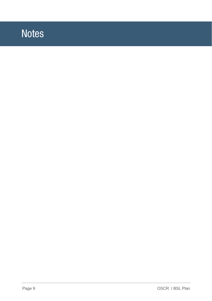## **Notes**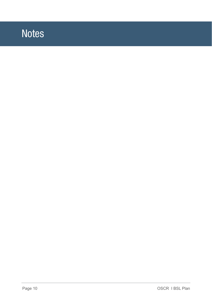## **Notes**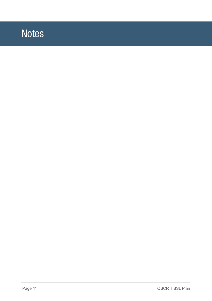## **Notes**